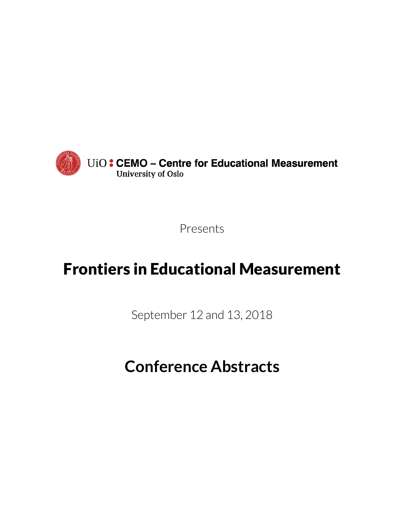

Presents

# Frontiers in Educational Measurement

September 12 and 13, 2018

# **Conference Abstracts**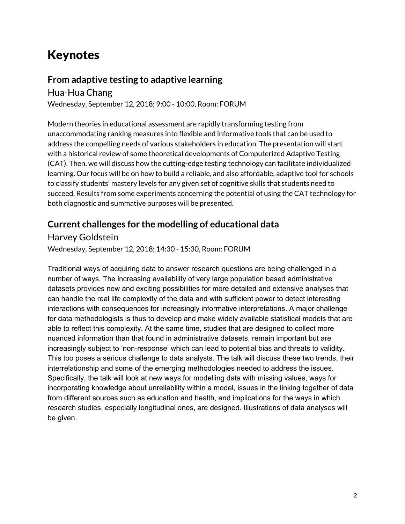# Keynotes

#### **From adaptive testing to adaptive learning**

Hua-Hua Chang Wednesday, September 12, 2018; 9:00 - 10:00, Room: FORUM

Modern theories in educational assessment are rapidly transforming testing from unaccommodating ranking measures into flexible and informative tools that can be used to address the compelling needs of various stakeholders in education. The presentation will start with a historical review of some theoretical developments of Computerized Adaptive Testing (CAT). Then, we will discuss how the cutting-edge testing technology can facilitate individualized learning. Our focus will be on how to build a reliable, and also affordable, adaptive tool for schools to classify students' mastery levels for any given set of cognitive skills that students need to succeed. Results from some experiments concerning the potential of using the CAT technology for both diagnostic and summative purposes will be presented.

#### **Current challenges for the modelling of educational data**

Harvey Goldstein

Wednesday, September 12, 2018; 14:30 - 15:30, Room: FORUM

Traditional ways of acquiring data to answer research questions are being challenged in a number of ways. The increasing availability of very large population based administrative datasets provides new and exciting possibilities for more detailed and extensive analyses that can handle the real life complexity of the data and with sufficient power to detect interesting interactions with consequences for increasingly informative interpretations. A major challenge for data methodologists is thus to develop and make widely available statistical models that are able to reflect this complexity. At the same time, studies that are designed to collect more nuanced information than that found in administrative datasets, remain important but are increasingly subject to 'non-response' which can lead to potential bias and threats to validity. This too poses a serious challenge to data analysts. The talk will discuss these two trends, their interrelationship and some of the emerging methodologies needed to address the issues. Specifically, the talk will look at new ways for modelling data with missing values, ways for incorporating knowledge about unreliability within a model, issues in the linking together of data from different sources such as education and health, and implications for the ways in which research studies, especially longitudinal ones, are designed. Illustrations of data analyses will be given.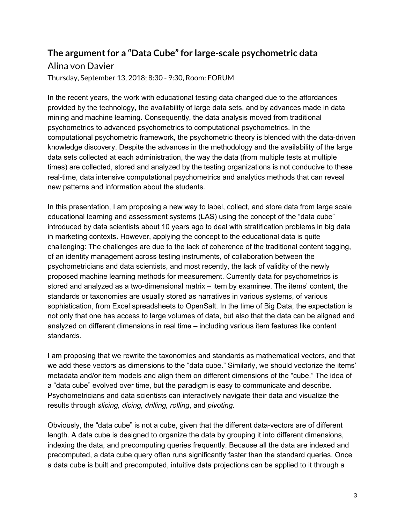# **The argument for a "Data Cube" for large-scale psychometric data**

#### Alina von Davier

Thursday, September 13, 2018; 8:30 - 9:30, Room: FORUM

In the recent years, the work with educational testing data changed due to the affordances provided by the technology, the availability of large data sets, and by advances made in data mining and machine learning. Consequently, the data analysis moved from traditional psychometrics to advanced psychometrics to computational psychometrics. In the computational psychometric framework, the psychometric theory is blended with the data-driven knowledge discovery. Despite the advances in the methodology and the availability of the large data sets collected at each administration, the way the data (from multiple tests at multiple times) are collected, stored and analyzed by the testing organizations is not conducive to these real-time, data intensive computational psychometrics and analytics methods that can reveal new patterns and information about the students.

In this presentation, I am proposing a new way to label, collect, and store data from large scale educational learning and assessment systems (LAS) using the concept of the "data cube" introduced by data scientists about 10 years ago to deal with stratification problems in big data in marketing contexts. However, applying the concept to the educational data is quite challenging: The challenges are due to the lack of coherence of the traditional content tagging, of an identity management across testing instruments, of collaboration between the psychometricians and data scientists, and most recently, the lack of validity of the newly proposed machine learning methods for measurement. Currently data for psychometrics is stored and analyzed as a two-dimensional matrix – item by examinee. The items' content, the standards or taxonomies are usually stored as narratives in various systems, of various sophistication, from Excel spreadsheets to OpenSalt. In the time of Big Data, the expectation is not only that one has access to large volumes of data, but also that the data can be aligned and analyzed on different dimensions in real time – including various item features like content standards.

I am proposing that we rewrite the taxonomies and standards as mathematical vectors, and that we add these vectors as dimensions to the "data cube." Similarly, we should vectorize the items' metadata and/or item models and align them on different dimensions of the "cube." The idea of a "data cube" evolved over time, but the paradigm is easy to communicate and describe. Psychometricians and data scientists can interactively navigate their data and visualize the results through *slicing, dicing, drilling, rolling*, and *pivoting*.

Obviously, the "data cube" is not a cube, given that the different data-vectors are of different length. A data cube is designed to organize the data by grouping it into different dimensions, indexing the data, and precomputing queries frequently. Because all the data are indexed and precomputed, a data cube query often runs significantly faster than the standard queries. Once a data cube is built and precomputed, intuitive data projections can be applied to it through a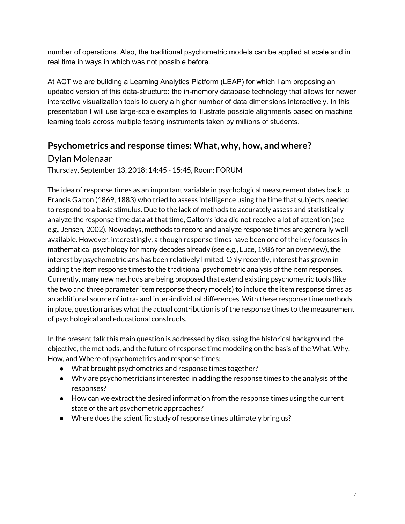number of operations. Also, the traditional psychometric models can be applied at scale and in real time in ways in which was not possible before.

At ACT we are building a Learning Analytics Platform (LEAP) for which I am proposing an updated version of this data-structure: the in-memory database technology that allows for newer interactive visualization tools to query a higher number of data dimensions interactively. In this presentation I will use large-scale examples to illustrate possible alignments based on machine learning tools across multiple testing instruments taken by millions of students.

#### **Psychometrics and response times: What, why, how, and where?**

Dylan Molenaar

Thursday, September 13, 2018; 14:45 - 15:45, Room: FORUM

The idea of response times as an important variable in psychological measurement dates back to Francis Galton (1869, 1883) who tried to assess intelligence using the time that subjects needed to respond to a basic stimulus. Due to the lack of methods to accurately assess and statistically analyze the response time data at that time, Galton's idea did not receive a lot of attention (see e.g., Jensen, 2002). Nowadays, methods to record and analyze response times are generally well available. However, interestingly, although response times have been one of the key focusses in mathematical psychology for many decades already (see e.g., Luce, 1986 for an overview), the interest by psychometricians has been relatively limited. Only recently, interest has grown in adding the item response times to the traditional psychometric analysis of the item responses. Currently, many new methods are being proposed that extend existing psychometric tools (like the two and three parameter item response theory models) to include the item response times as an additional source of intra- and inter-individual differences. With these response time methods in place, question arises what the actual contribution is of the response times to the measurement of psychological and educational constructs.

In the present talk this main question is addressed by discussing the historical background, the objective, the methods, and the future of response time modeling on the basis of the What, Why, How, and Where of psychometrics and response times:

- What brought psychometrics and response times together?
- Why are psychometricians interested in adding the response times to the analysis of the responses?
- How can we extract the desired information from the response times using the current state of the art psychometric approaches?
- Where does the scientific study of response times ultimately bring us?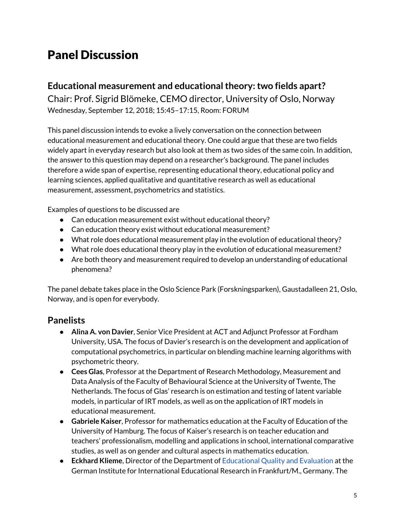# Panel Discussion

#### **Educational measurement and educationaltheory:two fields apart?**

Chair: Prof. Sigrid Blömeke, CEMO director, University of Oslo, Norway Wednesday, September 12, 2018; 15:45–17:15, Room: FORUM

This panel discussion intends to evoke a lively conversation on the connection between educational measurement and educational theory. One could argue that these are two fields widely apart in everyday research but also look at them as two sides of the same coin. In addition, the answer to this question may depend on a researcher's background. The panel includes therefore a wide span of expertise, representing educational theory, educational policy and learning sciences, applied qualitative and quantitative research as well as educational measurement, assessment, psychometrics and statistics.

Examples of questions to be discussed are

- Can education measurement exist without educational theory?
- Can education theory exist without educational measurement?
- What role does educational measurement play in the evolution of educational theory?
- What role does educational theory play in the evolution of educational measurement?
- Are both theory and measurement required to develop an understanding of educational phenomena?

The panel debate takes place in the Oslo Science Park (Forskningsparken), Gaustadalleen 21, Oslo, Norway, and is open for everybody.

#### **Panelists**

- **Alina A. von Davier**, Senior Vice President at ACT and Adjunct Professor at Fordham University, USA. The focus of Davier's research is on the development and application of computational psychometrics, in particular on blending machine learning algorithms with psychometric theory.
- **Cees Glas**, Professor at the Department of Research Methodology, Measurement and Data Analysis of the Faculty of Behavioural Science at the University of Twente, The Netherlands. The focus of Glas' research is on estimation and testing of latent variable models, in particular of IRT models, as well as on the application of IRT models in educational measurement.
- **Gabriele Kaiser**, Professor for mathematics education at the Faculty of Education of the University of Hamburg. The focus of Kaiser's research is on teacher education and teachers' professionalism, modelling and applications in school, international comparative studies, as well as on gender and cultural aspects in mathematics education.
- **Eckhard Klieme**, Director of the Department of [Educational](https://www.dipf.de/en/institute/departments/educational-quality-and-evaluation) Quality and Evaluation at the German Institute for International Educational Research in Frankfurt/M., Germany. The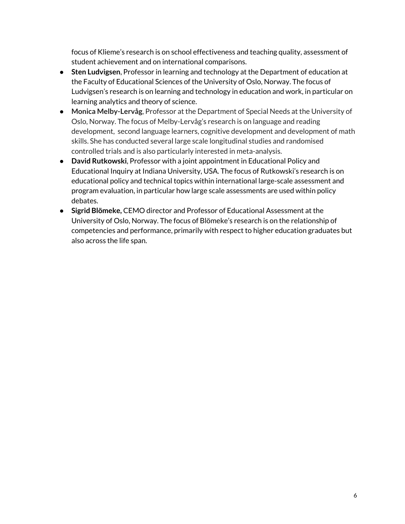focus of Klieme's research is on school effectiveness and teaching quality, assessment of student achievement and on international comparisons.

- **Sten Ludvigsen**, Professor in learning and technology at the Department of education at the Faculty of Educational Sciences of the University of Oslo, Norway. The focus of Ludvigsen's research is on learning and technology in education and work, in particular on learning analytics and theory of science.
- **Monica Melby-Lervåg**, Professor at the Department of Special Needs at the University of Oslo, Norway. The focus of Melby-Lervåg's research is on language and reading development, second language learners, cognitive development and development of math skills. She has conducted several large scale longitudinal studies and randomised controlled trials and is also particularly interested in meta-analysis.
- **David Rutkowski**, Professor with a joint appointment in Educational Policy and Educational Inquiry at Indiana University, USA. The focus of Rutkowski's research is on educational policy and technical topics within international large-scale assessment and program evaluation, in particular how large scale assessments are used within policy debates.
- **Sigrid Blömeke,** CEMO director and Professor of Educational Assessment at the University of Oslo, Norway. The focus of Blömeke's research is on the relationship of competencies and performance, primarily with respect to higher education graduates but also across the life span.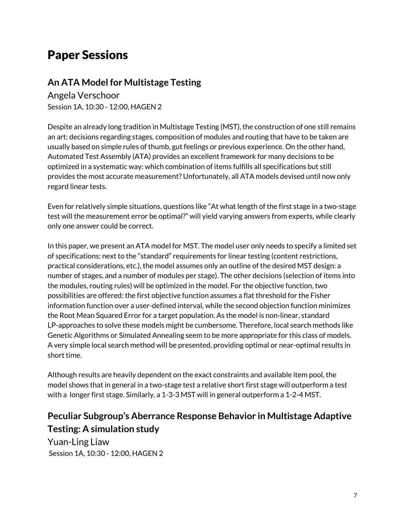# Paper Sessions

#### **An ATA Model for Multistage Testing**

Angela Verschoor Session 1A, 10:30 - 12:00, HAGEN 2

Despite an already long tradition in Multistage Testing (MST), the construction of one still remains an art: decisions regarding stages, composition of modules and routing that have to be taken are usually based on simple rules of thumb, gut feelings or previous experience. On the other hand, Automated Test Assembly (ATA) provides an excellent framework for many decisions to be optimized in a systematic way: which combination of items fulfills all specifications but still provides the most accurate measurement? Unfortunately, all ATA models devised until now only regard linear tests.

Even for relatively simple situations, questions like "At what length of the first stage in a two-stage test will the measurement error be optimal?" will yield varying answers from experts, while clearly only one answer could be correct.

In this paper, we present an ATA model for MST. The model user only needs to specify a limited set of specifications: next to the "standard" requirements for linear testing (content restrictions, practical considerations, etc.), the model assumes only an outline of the desired MST design: a number of stages, and a number of modules per stage). The other decisions (selection of items into the modules, routing rules) will be optimized in the model. For the objective function, two possibilities are offered: the first objective function assumes a flat threshold for the Fisher information function over a user-defined interval, while the second objection function minimizes the Root Mean Squared Error for a target population. As the model is non-linear, standard LP-approaches to solve these models might be cumbersome. Therefore, local search methods like Genetic Algorithms or Simulated Annealing seem to be more appropriate for this class of models. A very simple local search method will be presented, providing optimal or near-optimal results in short time.

Although results are heavily dependent on the exact constraints and available item pool, the model shows that in general in a two-stage test a relative short first stage will outperform a test with a longer first stage. Similarly, a 1-3-3 MST will in general outperform a 1-2-4 MST.

### **Peculiar Subgroup's Aberrance Response Behavior in Multistage Adaptive Testing: A simulation study**

Yuan-Ling Liaw Session 1A, 10:30 - 12:00, HAGEN 2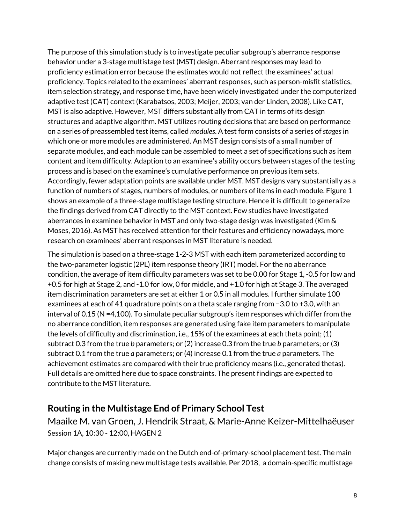The purpose of this simulation study is to investigate peculiar subgroup's aberrance response behavior under a 3-stage multistage test (MST) design. Aberrant responses may lead to proficiency estimation error because the estimates would not reflect the examinees' actual proficiency. Topics related to the examinees' aberrant responses, such as person-misfit statistics, item selection strategy, and response time, have been widely investigated under the computerized adaptive test (CAT) context (Karabatsos, 2003; Meijer, 2003; van der Linden, 2008). Like CAT, MST is also adaptive. However, MST differs substantially from CAT in terms of its design structures and adaptive algorithm. MST utilizes routing decisions that are based on performance on a series of preassembled test items, called *modules*. A test form consists of a series of*stages*in which one or more modules are administered. An MST design consists of a small number of separate modules, and each module can be assembled to meet a set of specifications such as item content and item difficulty. Adaption to an examinee's ability occurs between stages of the testing process and is based on the examinee's cumulative performance on previous item sets. Accordingly, fewer adaptation points are available under MST. MST designs vary substantially as a function of numbers of stages, numbers of modules, or numbers of items in each module. Figure 1 shows an example of a three-stage multistage testing structure. Hence it is difficult to generalize the findings derived from CAT directly to the MST context. Few studies have investigated aberrances in examinee behavior in MST and only two-stage design was investigated (Kim & Moses, 2016). As MST has received attention for their features and efficiency nowadays, more research on examinees' aberrant responses in MST literature is needed.

The simulation is based on a three-stage 1-2-3 MST with each item parameterized according to the two-parameter logistic (2PL) item response theory (IRT) model. For the no aberrance condition, the average of item difficulty parameters was set to be 0.00 for Stage 1, -0.5 for low and +0.5 for high at Stage 2, and -1.0 for low, 0 for middle, and +1.0 for high at Stage 3. The averaged item discrimination parameters are set at either 1 or 0.5 in all modules. I further simulate 100 examinees at each of 41 quadrature points on a theta scale ranging from −3.0 to +3.0, with an interval of 0.15 (N =4,100). To simulate peculiar subgroup's item responses which differ from the no aberrance condition, item responses are generated using fake item parameters to manipulate the levels of difficulty and discrimination, i.e., 15% of the examinees at each theta point; (1) subtract 0.3 from the true *b* parameters; or (2) increase 0.3 from the true *b* parameters; or (3) subtract 0.1 from the true *a* parameters; or (4) increase 0.1 from the true *a* parameters. The achievement estimates are compared with their true proficiency means (i.e., generated thetas). Full details are omitted here due to space constraints. The present findings are expected to contribute to the MST literature.

#### **Routing in the Multistage End of Primary School Test**

Maaike M. van Groen, J. Hendrik Straat, & Marie-Anne Keizer-Mittelhaëuser Session 1A, 10:30 - 12:00, HAGEN 2

Major changes are currently made on the Dutch end-of-primary-school placement test. The main change consists of making new multistage tests available. Per 2018, a domain-specific multistage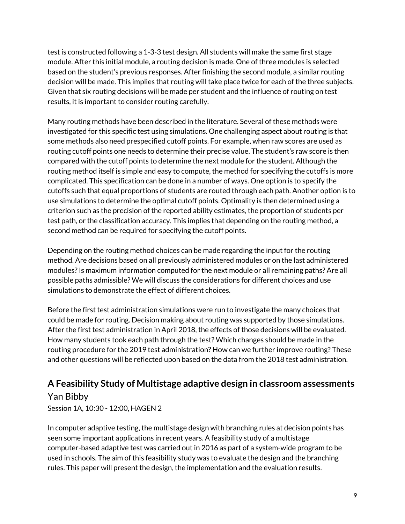test is constructed following a 1-3-3 test design. All students will make the same first stage module. After this initial module, a routing decision is made. One of three modules is selected based on the student's previous responses. After finishing the second module, a similar routing decision will be made. This implies that routing will take place twice for each of the three subjects. Given that six routing decisions will be made per student and the influence of routing on test results, it is important to consider routing carefully.

Many routing methods have been described in the literature. Several of these methods were investigated for this specific test using simulations. One challenging aspect about routing is that some methods also need prespecified cutoff points. For example, when raw scores are used as routing cutoff points one needs to determine their precise value. The student's raw score is then compared with the cutoff points to determine the next module for the student. Although the routing method itself is simple and easy to compute, the method for specifying the cutoffs is more complicated. This specification can be done in a number of ways. One option is to specify the cutoffs such that equal proportions of students are routed through each path. Another option is to use simulations to determine the optimal cutoff points. Optimality is then determined using a criterion such as the precision of the reported ability estimates, the proportion of students per test path, or the classification accuracy. This implies that depending on the routing method, a second method can be required for specifying the cutoff points.

Depending on the routing method choices can be made regarding the input for the routing method. Are decisions based on all previously administered modules or on the last administered modules? Is maximum information computed for the next module or all remaining paths? Are all possible paths admissible? We will discuss the considerations for different choices and use simulations to demonstrate the effect of different choices.

Before the first test administration simulations were run to investigate the many choices that could be made for routing. Decision making about routing was supported by those simulations. After the first test administration in April 2018, the effects of those decisions will be evaluated. How many students took each path through the test? Which changes should be made in the routing procedure for the 2019 test administration? How can we further improve routing? These and other questions will be reflected upon based on the data from the 2018 test administration.

### **A Feasibility Study of Multistage adaptive design in classroom assessments** Yan Bibby

Session 1A, 10:30 - 12:00, HAGEN 2

In computer adaptive testing, the multistage design with branching rules at decision points has seen some important applications in recent years. A feasibility study of a multistage computer-based adaptive test was carried out in 2016 as part of a system-wide program to be used in schools. The aim of this feasibility study was to evaluate the design and the branching rules. This paper will present the design, the implementation and the evaluation results.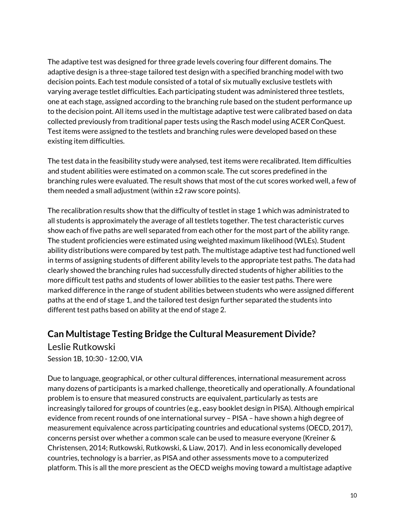The adaptive test was designed for three grade levels covering four different domains. The adaptive design is a three-stage tailored test design with a specified branching model with two decision points. Each test module consisted of a total of six mutually exclusive testlets with varying average testlet difficulties. Each participating student was administered three testlets, one at each stage, assigned according to the branching rule based on the student performance up to the decision point. All items used in the multistage adaptive test were calibrated based on data collected previously from traditional paper tests using the Rasch model using ACER ConQuest. Test items were assigned to the testlets and branching rules were developed based on these existing item difficulties.

The test data in the feasibility study were analysed, test items were recalibrated. Item difficulties and student abilities were estimated on a common scale. The cut scores predefined in the branching rules were evaluated. The result shows that most of the cut scores worked well, a few of them needed a small adjustment (within  $\pm 2$  raw score points).

The recalibration results show that the difficulty of testlet in stage 1 which was administrated to all students is approximately the average of all testlets together. The test characteristic curves show each of five paths are well separated from each other for the most part of the ability range. The student proficiencies were estimated using weighted maximum likelihood (WLEs). Student ability distributions were compared by test path. The multistage adaptive test had functioned well in terms of assigning students of different ability levels to the appropriate test paths. The data had clearly showed the branching rules had successfully directed students of higher abilities to the more difficult test paths and students of lower abilities to the easier test paths. There were marked difference in the range of student abilities between students who were assigned different paths at the end of stage 1, and the tailored test design further separated the students into different test paths based on ability at the end of stage 2.

#### **Can Multistage Testing Bridge the Cultural Measurement Divide?**

Leslie Rutkowski Session 1B, 10:30 - 12:00, VIA

Due to language, geographical, or other cultural differences, international measurement across many dozens of participants is a marked challenge, theoretically and operationally. A foundational problem is to ensure that measured constructs are equivalent, particularly as tests are increasingly tailored for groups of countries (e.g., easy booklet design in PISA). Although empirical evidence from recent rounds of one international survey – PISA – have shown a high degree of measurement equivalence across participating countries and educational systems (OECD, 2017), concerns persist over whether a common scale can be used to measure everyone (Kreiner & Christensen, 2014; Rutkowski, Rutkowski, & Liaw, 2017). And in less economically developed countries, technology is a barrier, as PISA and other assessments move to a computerized platform. This is all the more prescient as the OECD weighs moving toward a multistage adaptive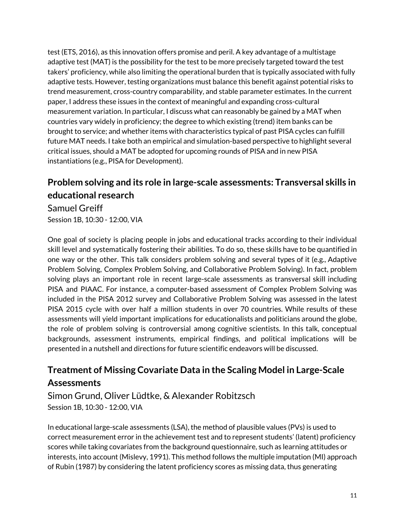test (ETS, 2016), as this innovation offers promise and peril. A key advantage of a multistage adaptive test (MAT) is the possibility for the test to be more precisely targeted toward the test takers' proficiency, while also limiting the operational burden that is typically associated with fully adaptive tests. However, testing organizations must balance this benefit against potential risks to trend measurement, cross-country comparability, and stable parameter estimates. In the current paper, I address these issues in the context of meaningful and expanding cross-cultural measurement variation. In particular, I discuss what can reasonably be gained by a MAT when countries vary widely in proficiency; the degree to which existing (trend) item banks can be brought to service; and whether items with characteristics typical of past PISA cycles can fulfill future MAT needs. I take both an empirical and simulation-based perspective to highlight several critical issues, should a MAT be adopted for upcoming rounds of PISA and in new PISA instantiations (e.g., PISA for Development).

# **Problem solving and its role in large-scale assessments: Transversal skills in educational research**

Samuel Greiff Session 1B, 10:30 - 12:00, VIA

One goal of society is placing people in jobs and educational tracks according to their individual skill level and systematically fostering their abilities. To do so, these skills have to be quantified in one way or the other. This talk considers problem solving and several types of it (e.g., Adaptive Problem Solving, Complex Problem Solving, and Collaborative Problem Solving). In fact, problem solving plays an important role in recent large-scale assessments as transversal skill including PISA and PIAAC. For instance, a computer-based assessment of Complex Problem Solving was included in the PISA 2012 survey and Collaborative Problem Solving was assessed in the latest PISA 2015 cycle with over half a million students in over 70 countries. While results of these assessments will yield important implications for educationalists and politicians around the globe, the role of problem solving is controversial among cognitive scientists. In this talk, conceptual backgrounds, assessment instruments, empirical findings, and political implications will be presented in a nutshell and directions for future scientific endeavors will be discussed.

### **Treatment of Missing Covariate Data in the Scaling Model in Large-Scale Assessments**

Simon Grund, Oliver Lüdtke, & Alexander Robitzsch Session 1B, 10:30 - 12:00, VIA

In educational large-scale assessments (LSA), the method of plausible values (PVs) is used to correct measurement error in the achievement test and to represent students' (latent) proficiency scores while taking covariates from the background questionnaire, such as learning attitudes or interests, into account (Mislevy, 1991). This method follows the multiple imputation (MI) approach of Rubin (1987) by considering the latent proficiency scores as missing data, thus generating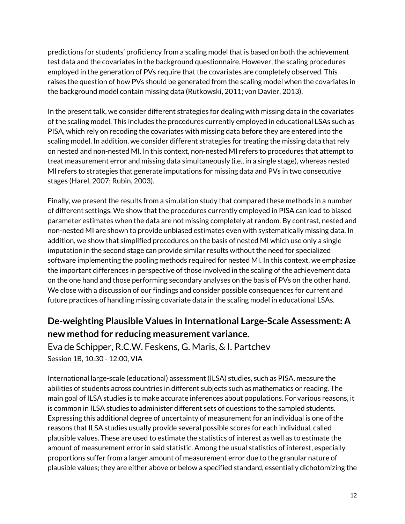predictions for students' proficiency from a scaling model that is based on both the achievement test data and the covariates in the background questionnaire. However, the scaling procedures employed in the generation of PVs require that the covariates are completely observed. This raises the question of how PVs should be generated from the scaling model when the covariates in the background model contain missing data (Rutkowski, 2011; von Davier, 2013).

In the present talk, we consider different strategies for dealing with missing data in the covariates of the scaling model. This includes the procedures currently employed in educational LSAs such as PISA, which rely on recoding the covariates with missing data before they are entered into the scaling model. In addition, we consider different strategies for treating the missing data that rely on nested and non-nested MI. In this context, non-nested MI refers to procedures that attempt to treat measurement error and missing data simultaneously (i.e., in a single stage), whereas nested MI refers to strategies that generate imputations for missing data and PVs in two consecutive stages (Harel, 2007; Rubin, 2003).

Finally, we present the results from a simulation study that compared these methods in a number of different settings. We show that the procedures currently employed in PISA can lead to biased parameter estimates when the data are not missing completely at random. By contrast, nested and non-nested MI are shown to provide unbiased estimates even with systematically missing data. In addition, we show that simplified procedures on the basis of nested MI which use only a single imputation in the second stage can provide similar results without the need for specialized software implementing the pooling methods required for nested MI. In this context, we emphasize the important differences in perspective of those involved in the scaling of the achievement data on the one hand and those performing secondary analyses on the basis of PVs on the other hand. We close with a discussion of our findings and consider possible consequences for current and future practices of handling missing covariate data in the scaling model in educational LSAs.

### **De-weighting Plausible Values in International Large-Scale Assessment: A new method for reducing measurement variance.**

Eva de Schipper, R.C.W. Feskens, G. Maris, & I. Partchev Session 1B, 10:30 - 12:00, VIA

International large-scale (educational) assessment (ILSA) studies, such as PISA, measure the abilities of students across countries in different subjects such as mathematics or reading. The main goal of ILSA studies is to make accurate inferences about populations. For various reasons, it is common in ILSA studies to administer different sets of questions to the sampled students. Expressing this additional degree of uncertainty of measurement for an individual is one of the reasons that ILSA studies usually provide several possible scores for each individual, called plausible values. These are used to estimate the statistics of interest as well as to estimate the amount of measurement error in said statistic. Among the usual statistics of interest, especially proportions suffer from a larger amount of measurement error due to the granular nature of plausible values; they are either above or below a specified standard, essentially dichotomizing the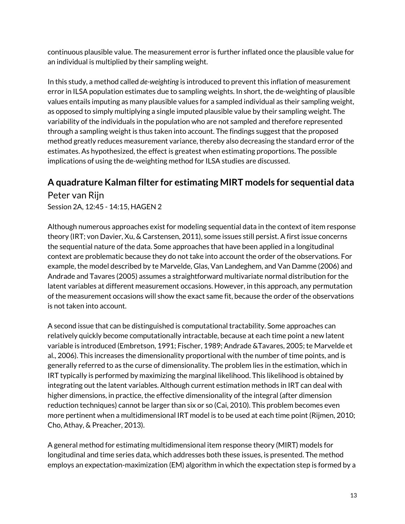continuous plausible value. The measurement error is further inflated once the plausible value for an individual is multiplied by their sampling weight.

In this study, a method called *de-weighting* is introduced to prevent this inflation of measurement error in ILSA population estimates due to sampling weights. In short, the de-weighting of plausible values entails imputing as many plausible values for a sampled individual as their sampling weight, as opposed to simply multiplying a single imputed plausible value by their sampling weight. The variability of the individuals in the population who are not sampled and therefore represented through a sampling weight is thus taken into account. The findings suggest that the proposed method greatly reduces measurement variance, thereby also decreasing the standard error of the estimates. As hypothesized, the effect is greatest when estimating proportions. The possible implications of using the de-weighting method for ILSA studies are discussed.

#### **A quadrature Kalman filter for estimating MIRT models for sequential data**

Peter van Rijn

Session 2A, 12:45 - 14:15, HAGEN 2

Although numerous approaches exist for modeling sequential data in the context of item response theory (IRT; von Davier, Xu, & Carstensen, 2011), some issues still persist. A first issue concerns the sequential nature of the data. Some approaches that have been applied in a longitudinal context are problematic because they do not take into account the order of the observations. For example, the model described by te Marvelde, Glas, Van Landeghem, and Van Damme (2006) and Andrade and Tavares (2005) assumes a straightforward multivariate normal distribution for the latent variables at different measurement occasions. However, in this approach, any permutation of the measurement occasions will show the exact same fit, because the order of the observations is not taken into account.

A second issue that can be distinguished is computational tractability. Some approaches can relatively quickly become computationally intractable, because at each time point a new latent variable is introduced (Embretson, 1991; Fischer, 1989; Andrade &Tavares, 2005; te Marvelde et al., 2006). This increases the dimensionality proportional with the number of time points, and is generally referred to as the curse of dimensionality. The problem lies in the estimation, which in IRT typically is performed by maximizing the marginal likelihood. This likelihood is obtained by integrating out the latent variables. Although current estimation methods in IRT can deal with higher dimensions, in practice, the effective dimensionality of the integral (after dimension reduction techniques) cannot be larger than six or so (Cai, 2010). This problem becomes even more pertinent when a multidimensional IRT model is to be used at each time point (Rijmen, 2010; Cho, Athay, & Preacher, 2013).

A general method for estimating multidimensional item response theory (MIRT) models for longitudinal and time series data, which addresses both these issues, is presented. The method employs an expectation-maximization (EM) algorithm in which the expectation step is formed by a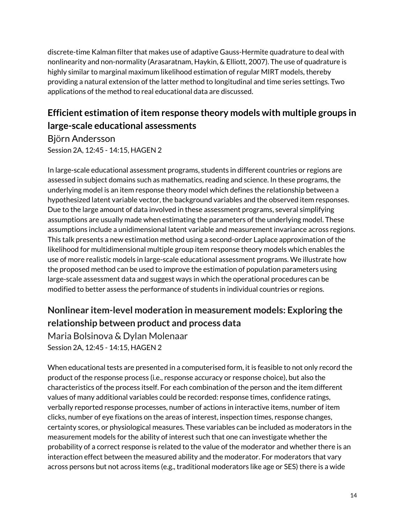discrete-time Kalman filter that makes use of adaptive Gauss-Hermite quadrature to deal with nonlinearity and non-normality (Arasaratnam, Haykin, & Elliott, 2007). The use of quadrature is highly similar to marginal maximum likelihood estimation of regular MIRT models, thereby providing a natural extension of the latter method to longitudinal and time series settings. Two applications of the method to real educational data are discussed.

# **Efficient estimation of item response theory models with multiple groups in large-scale educational assessments**

Björn Andersson Session 2A, 12:45 - 14:15, HAGEN 2

In large-scale educational assessment programs, students in different countries or regions are assessed in subject domains such as mathematics, reading and science. In these programs, the underlying model is an item response theory model which defines the relationship between a hypothesized latent variable vector, the background variables and the observed item responses. Due to the large amount of data involved in these assessment programs, several simplifying assumptions are usually made when estimating the parameters of the underlying model. These assumptions include a unidimensional latent variable and measurement invariance across regions. This talk presents a new estimation method using a second-order Laplace approximation of the likelihood for multidimensional multiple group item response theory models which enables the use of more realistic models in large-scale educational assessment programs. We illustrate how the proposed method can be used to improve the estimation of population parameters using large-scale assessment data and suggest ways in which the operational procedures can be modified to better assess the performance of students in individual countries or regions.

# **Nonlinear item-level moderation in measurement models: Exploring the relationship between product and process data**

Maria Bolsinova & Dylan Molenaar Session 2A, 12:45 - 14:15, HAGEN 2

When educational tests are presented in a computerised form, it is feasible to not only record the product of the response process (i.e., response accuracy or response choice), but also the characteristics of the process itself. For each combination of the person and the item different values of many additional variables could be recorded: response times, confidence ratings, verbally reported response processes, number of actions in interactive items, number of item clicks, number of eye fixations on the areas of interest, inspection times, response changes, certainty scores, or physiological measures. These variables can be included as moderators in the measurement models for the ability of interest such that one can investigate whether the probability of a correct response is related to the value of the moderator and whether there is an interaction effect between the measured ability and the moderator. For moderators that vary across persons but not across items (e.g., traditional moderators like age or SES) there is a wide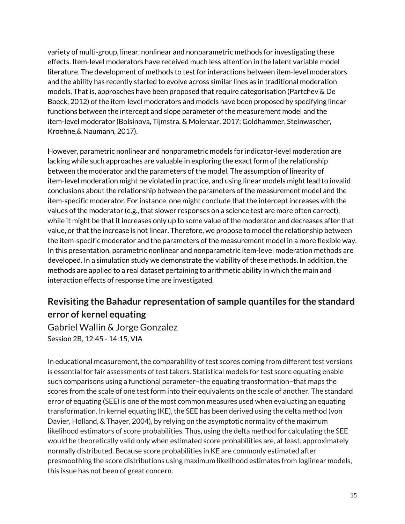variety of multi-group, linear, nonlinear and nonparametric methods for investigating these effects. Item-level moderators have received much less attention in the latent variable model literature. The development of methods to test for interactions between item-level moderators and the ability has recently started to evolve across similar lines as in traditional moderation models. That is, approaches have been proposed that require categorisation (Partchev & De Boeck, 2012) of the item-level moderators and models have been proposed by specifying linear functions between the intercept and slope parameter of the measurement model and the item-level moderator (Bolsinova, Tijmstra, & Molenaar, 2017; Goldhammer, Steinwascher, Kroehne,& Naumann, 2017).

However, parametric nonlinear and nonparametric models for indicator-level moderation are lacking while such approaches are valuable in exploring the exact form of the relationship between the moderator and the parameters of the model. The assumption of linearity of item-level moderation might be violated in practice, and using linear models might lead to invalid conclusions about the relationship between the parameters of the measurement model and the item-specific moderator. For instance, one might conclude that the intercept increases with the values of the moderator (e.g., that slower responses on a science test are more often correct), while it might be that it increases only up to some value of the moderator and decreases after that value, or that the increase is not linear. Therefore, we propose to model the relationship between the item-specific moderator and the parameters of the measurement model in a more flexible way. In this presentation, parametric nonlinear and nonparametric item-level moderation methods are developed. In a simulation study we demonstrate the viability of these methods. In addition, the methods are applied to a real dataset pertaining to arithmetic ability in which the main and interaction effects of response time are investigated.

# **Revisiting the Bahadur representation of sample quantiles for the standard error of kernel equating**

Gabriel Wallin & Jorge Gonzalez Session 2B, 12:45 - 14:15, VIA

In educational measurement, the comparability of test scores coming from different test versions is essential for fair assessments of test takers. Statistical models for test score equating enable such comparisons using a functional parameter–the equating transformation–that maps the scores from the scale of one test form into their equivalents on the scale of another. The standard error of equating (SEE) is one of the most common measures used when evaluating an equating transformation. In kernel equating (KE), the SEE has been derived using the delta method (von Davier, Holland, & Thayer, 2004), by relying on the asymptotic normality of the maximum likelihood estimators of score probabilities. Thus, using the delta method for calculating the SEE would be theoretically valid only when estimated score probabilities are, at least, approximately normally distributed. Because score probabilities in KE are commonly estimated after presmoothing the score distributions using maximum likelihood estimates from loglinear models, this issue has not been of great concern.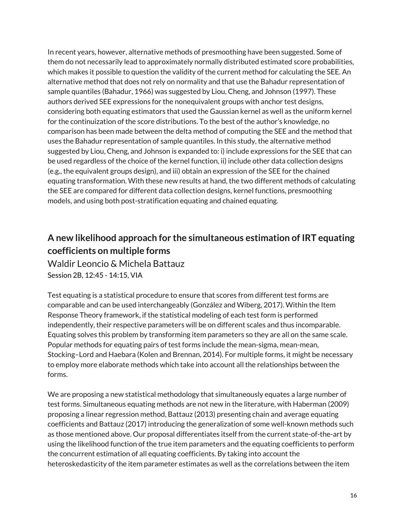In recent years, however, alternative methods of presmoothing have been suggested. Some of them do not necessarily lead to approximately normally distributed estimated score probabilities, which makes it possible to question the validity of the current method for calculating the SEE. An alternative method that does not rely on normality and that use the Bahadur representation of sample quantiles (Bahadur, 1966) was suggested by Liou, Cheng, and Johnson (1997). These authors derived SEE expressions for the nonequivalent groups with anchor test designs, considering both equating estimators that used the Gaussian kernel as well as the uniform kernel for the continuization of the score distributions. To the best of the author's knowledge, no comparison has been made between the delta method of computing the SEE and the method that uses the Bahadur representation of sample quantiles. In this study, the alternative method suggested by Liou, Cheng, and Johnson is expanded to: i) include expressions for the SEE that can be used regardless of the choice of the kernel function, ii) include other data collection designs (e.g., the equivalent groups design), and iii) obtain an expression of the SEE for the chained equating transformation. With these new results at hand, the two different methods of calculating the SEE are compared for different data collection designs, kernel functions, presmoothing models, and using both post-stratification equating and chained equating.

## **A new likelihood approach for the simultaneous estimation of IRT equating coefficients on multiple forms**

Waldir Leoncio & Michela Battauz Session 2B, 12:45 - 14:15, VIA

Test equating is a statistical procedure to ensure that scores from different test forms are comparable and can be used interchangeably (González and Wiberg, 2017). Within the Item Response Theory framework, if the statistical modeling of each test form is performed independently, their respective parameters will be on different scales and thus incomparable. Equating solves this problem by transforming item parameters so they are all on the same scale. Popular methods for equating pairs of test forms include the mean-sigma, mean-mean, Stocking–Lord and Haebara (Kolen and Brennan, 2014). For multiple forms, it might be necessary to employ more elaborate methods which take into account all the relationships between the forms.

We are proposing a new statistical methodology that simultaneously equates a large number of test forms. Simultaneous equating methods are not new in the literature, with Haberman (2009) proposing a linear regression method, Battauz (2013) presenting chain and average equating coefficients and Battauz (2017) introducing the generalization of some well-known methods such as those mentioned above. Our proposal differentiates itself from the current state-of-the-art by using the likelihood function of the true item parameters and the equating coefficients to perform the concurrent estimation of all equating coefficients. By taking into account the heteroskedasticity of the item parameter estimates as well as the correlations between the item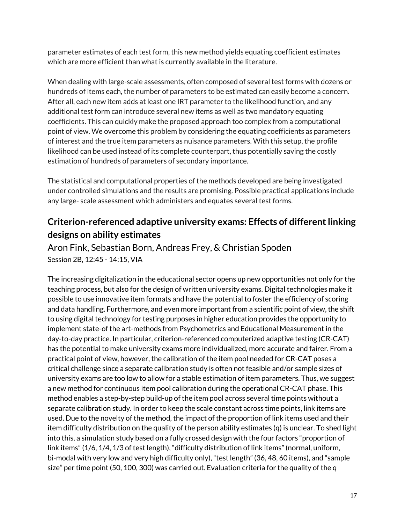parameter estimates of each test form, this new method yields equating coefficient estimates which are more efficient than what is currently available in the literature.

When dealing with large-scale assessments, often composed of several test forms with dozens or hundreds of items each, the number of parameters to be estimated can easily become a concern. After all, each new item adds at least one IRT parameter to the likelihood function, and any additional test form can introduce several new items as well as two mandatory equating coefficients. This can quickly make the proposed approach too complex from a computational point of view. We overcome this problem by considering the equating coefficients as parameters of interest and the true item parameters as nuisance parameters. With this setup, the profile likelihood can be used instead of its complete counterpart, thus potentially saving the costly estimation of hundreds of parameters of secondary importance.

The statistical and computational properties of the methods developed are being investigated under controlled simulations and the results are promising. Possible practical applications include any large- scale assessment which administers and equates several test forms.

### **Criterion-referenced adaptive university exams: Effects of differentlinking designs on ability estimates**

Aron Fink, Sebastian Born, Andreas Frey, & Christian Spoden Session 2B, 12:45 - 14:15, VIA

The increasing digitalization in the educational sector opens up new opportunities not only for the teaching process, but also for the design of written university exams. Digital technologies make it possible to use innovative item formats and have the potential to foster the efficiency of scoring and data handling. Furthermore, and even more important from a scientific point of view, the shift to using digital technology for testing purposes in higher education provides the opportunity to implement state-of the art-methods from Psychometrics and Educational Measurement in the day-to-day practice. In particular, criterion-referenced computerized adaptive testing (CR-CAT) has the potential to make university exams more individualized, more accurate and fairer. From a practical point of view, however, the calibration of the item pool needed for CR-CAT poses a critical challenge since a separate calibration study is often not feasible and/or sample sizes of university exams are too low to allow for a stable estimation of item parameters. Thus, we suggest a new method for continuous item pool calibration during the operational CR-CAT phase. This method enables a step-by-step build-up of the item pool across several time points without a separate calibration study. In order to keep the scale constant across time points, link items are used. Due to the novelty of the method, the impact of the proportion of link items used and their item difficulty distribution on the quality of the person ability estimates (q) is unclear. To shed light into this, a simulation study based on a fully crossed design with the four factors "proportion of link items" (1/6, 1/4, 1/3 of test length), "difficulty distribution of link items" (normal, uniform, bi-modal with very low and very high difficulty only), "test length" (36, 48, 60 items), and "sample size" per time point (50, 100, 300) was carried out. Evaluation criteria for the quality of the q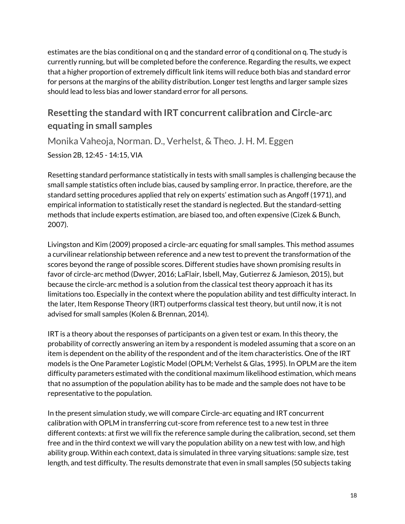estimates are the bias conditional on q and the standard error of q conditional on q. The study is currently running, but will be completed before the conference. Regarding the results, we expect that a higher proportion of extremely difficult link items will reduce both bias and standard error for persons at the margins of the ability distribution. Longer test lengths and larger sample sizes should lead to less bias and lower standard error for all persons.

#### **Resetting the standard with IRT concurrent calibration and Circle-arc equating in small samples**

Monika Vaheoja, Norman. D., Verhelst, & Theo. J. H. M. Eggen Session 2B, 12:45 - 14:15, VIA

Resetting standard performance statistically in tests with small samples is challenging because the small sample statistics often include bias, caused by sampling error. In practice, therefore, are the standard setting procedures applied that rely on experts' estimation such as Angoff (1971), and empirical information to statistically reset the standard is neglected. But the standard-setting methods that include experts estimation, are biased too, and often expensive (Cizek & Bunch, 2007).

Livingston and Kim (2009) proposed a circle-arc equating for small samples. This method assumes a curvilinear relationship between reference and a new test to prevent the transformation of the scores beyond the range of possible scores. Different studies have shown promising results in favor of circle-arc method (Dwyer, 2016; LaFlair, Isbell, May, Gutierrez & Jamieson, 2015), but because the circle-arc method is a solution from the classical test theory approach it has its limitations too. Especially in the context where the population ability and test difficulty interact. In the later, Item Response Theory (IRT) outperforms classical test theory, but until now, it is not advised for small samples (Kolen & Brennan, 2014).

IRT is a theory about the responses of participants on a given test or exam. In this theory, the probability of correctly answering an item by a respondent is modeled assuming that a score on an item is dependent on the ability of the respondent and of the item characteristics. One of the IRT models is the One Parameter Logistic Model (OPLM; Verhelst & Glas, 1995). In OPLM are the item difficulty parameters estimated with the conditional maximum likelihood estimation, which means that no assumption of the population ability has to be made and the sample does not have to be representative to the population.

In the present simulation study, we will compare Circle-arc equating and IRT concurrent calibration with OPLM in transferring cut-score from reference test to a new test in three different contexts: at first we will fix the reference sample during the calibration, second, set them free and in the third context we will vary the population ability on a new test with low, and high ability group. Within each context, data is simulated in three varying situations: sample size, test length, and test difficulty. The results demonstrate that even in small samples (50 subjects taking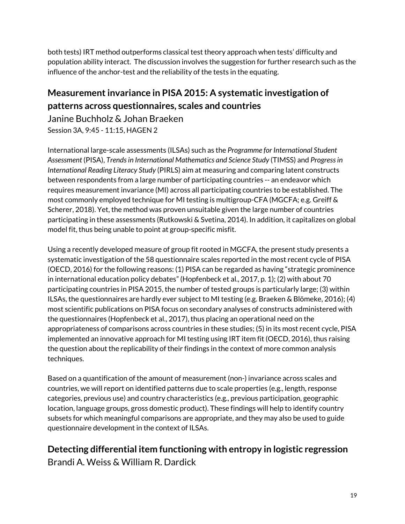both tests) IRT method outperforms classical test theory approach when tests' difficulty and population ability interact. The discussion involves the suggestion for further research such as the influence of the anchor-test and the reliability of the tests in the equating.

## **Measurementinvariance in PISA 2015: A systematic investigation of patterns across questionnaires, scales and countries**

Janine Buchholz & Johan Braeken Session 3A, 9:45 - 11:15, HAGEN 2

International large-scale assessments (ILSAs) such as the *Programme for International Student Assessment* (PISA), *Trendsin International Mathematics and Science Study* (TIMSS) and *Progressin International Reading Literacy Study* (PIRLS) aim at measuring and comparing latent constructs between respondents from a large number of participating countries -- an endeavor which requires measurement invariance (MI) across all participating countries to be established. The most commonly employed technique for MI testing is multigroup-CFA (MGCFA; e.g. Greiff & Scherer, 2018). Yet, the method was proven unsuitable given the large number of countries participating in these assessments (Rutkowski & Svetina, 2014). In addition, it capitalizes on global model fit, thus being unable to point at group-specific misfit.

Using a recently developed measure of group fit rooted in MGCFA, the present study presents a systematic investigation of the 58 questionnaire scales reported in the most recent cycle of PISA (OECD, 2016) for the following reasons: (1) PISA can be regarded as having "strategic prominence in international education policy debates" (Hopfenbeck et al., 2017, p. 1); (2) with about 70 participating countries in PISA 2015, the number of tested groups is particularly large; (3) within ILSAs, the questionnaires are hardly ever subject to MI testing (e.g. Braeken & Blömeke, 2016); (4) most scientific publications on PISA focus on secondary analyses of constructs administered with the questionnaires (Hopfenbeck et al., 2017), thus placing an operational need on the appropriateness of comparisons across countries in these studies; (5) in its most recent cycle, PISA implemented an innovative approach for MI testing using IRT item fit (OECD, 2016), thus raising the question about the replicability of their findings in the context of more common analysis techniques.

Based on a quantification of the amount of measurement (non-) invariance across scales and countries, we will report on identified patterns due to scale properties (e.g., length, response categories, previous use) and country characteristics (e.g., previous participation, geographic location, language groups, gross domestic product). These findings will help to identify country subsets for which meaningful comparisons are appropriate, and they may also be used to guide questionnaire development in the context of ILSAs.

**Detecting differential item functioning with entropy in logistic regression** Brandi A. Weiss & William R. Dardick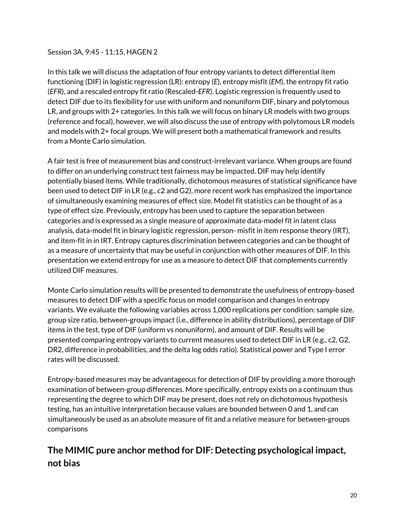#### Session 3A, 9:45 - 11:15, HAGEN 2

In this talk we will discuss the adaptation of four entropy variants to detect differential item functioning (DIF) in logistic regression (LR): entropy (*E*), entropy misfit (*EM*), the entropy fit ratio (*EFR*), and a rescaled entropy fit ratio (Rescaled-*EFR*). Logistic regression is frequently used to detect DIF due to its flexibility for use with uniform and nonuniform DIF, binary and polytomous LR, and groups with 2+ categories. In this talk we will focus on binary LR models with two groups (reference and focal), however, we will also discuss the use of entropy with polytomous LR models and models with 2+ focal groups. We will present both a mathematical framework and results from a Monte Carlo simulation.

A fair test is free of measurement bias and construct-irrelevant variance. When groups are found to differ on an underlying construct test fairness may be impacted. DIF may help identify potentially biased items. While traditionally, dichotomous measures of statistical significance have been used to detect DIF in LR (e.g., c2 and G2), more recent work has emphasized the importance of simultaneously examining measures of effect size. Model fit statistics can be thought of as a type of effect size. Previously, entropy has been used to capture the separation between categories and is expressed as a single measure of approximate data-model fit in latent class analysis, data-model fit in binary logistic regression, person- misfit in item response theory (IRT), and item-fit in in IRT. Entropy captures discrimination between categories and can be thought of as a measure of uncertainty that may be useful in conjunction with other measures of DIF. In this presentation we extend entropy for use as a measure to detect DIF that complements currently utilized DIF measures.

Monte Carlo simulation results will be presented to demonstrate the usefulness of entropy-based measures to detect DIF with a specific focus on model comparison and changes in entropy variants. We evaluate the following variables across 1,000 replications per condition: sample size, group size ratio, between-groups impact (i.e., difference in ability distributions), percentage of DIF items in the test, type of DIF (uniform vs nonuniform), and amount of DIF. Results will be presented comparing entropy variants to current measures used to detect DIF in LR (e.g., c2, G2, DR2, difference in probabilities, and the delta log odds ratio). Statistical power and Type I error rates will be discussed.

Entropy-based measures may be advantageous for detection of DIF by providing a more thorough examination of between-group differences. More specifically, entropy exists on a continuum thus representing the degree to which DIF may be present, does not rely on dichotomous hypothesis testing, has an intuitive interpretation because values are bounded between 0 and 1, and can simultaneously be used as an absolute measure of fit and a relative measure for between-groups comparisons

### **The MIMIC pure anchor method for DIF: Detecting psychological impact, not bias**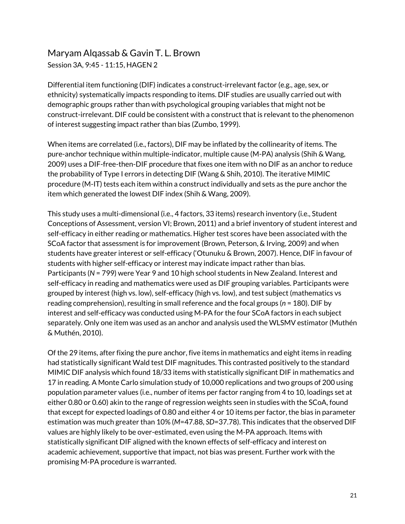# Maryam Alqassab & Gavin T. L. Brown

Session 3A, 9:45 - 11:15, HAGEN 2

Differential item functioning (DIF) indicates a construct-irrelevant factor (e.g., age, sex, or ethnicity) systematically impacts responding to items. DIF studies are usually carried out with demographic groups rather than with psychological grouping variables that might not be construct-irrelevant. DIF could be consistent with a construct that is relevant to the phenomenon of interest suggesting impact rather than bias (Zumbo, 1999).

When items are correlated (i.e., factors), DIF may be inflated by the collinearity of items. The pure-anchor technique within multiple-indicator, multiple cause (M-PA) analysis (Shih & Wang, 2009) uses a DIF-free-then-DIF procedure that fixes one item with no DIF as an anchor to reduce the probability of Type I errors in detecting DIF (Wang & Shih, 2010). The iterative MIMIC procedure (M-IT) tests each item within a construct individually and sets as the pure anchor the item which generated the lowest DIF index (Shih & Wang, 2009).

This study uses a multi-dimensional (i.e., 4 factors, 33 items) research inventory (i.e., Student Conceptions of Assessment, version VI; Brown, 2011) and a brief inventory of student interest and self-efficacy in either reading or mathematics. Higher test scores have been associated with the SCoA factor that assessment is for improvement (Brown, Peterson, & Irving, 2009) and when students have greater interest or self-efficacy ('Otunuku & Brown, 2007). Hence, DIF in favour of students with higher self-efficacy or interest may indicate impact rather than bias. Participants (*N* = 799) were Year 9 and 10 high school students in New Zealand. Interest and self-efficacy in reading and mathematics were used as DIF grouping variables. Participants were grouped by interest (high vs. low), self-efficacy (high vs. low), and test subject (mathematics vs reading comprehension), resulting in small reference and the focal groups (*n* = 180). DIF by interest and self-efficacy was conducted using M-PA for the four SCoA factors in each subject separately. Only one item was used as an anchor and analysis used the WLSMV estimator (Muthén & Muthén, 2010).

Of the 29 items, after fixing the pure anchor, five items in mathematics and eight items in reading had statistically significant Wald test DIF magnitudes. This contrasted positively to the standard MIMIC DIF analysis which found 18/33 items with statistically significant DIF in mathematics and 17 in reading. A Monte Carlo simulation study of 10,000 replications and two groups of 200 using population parameter values (i.e., number of items per factor ranging from 4 to 10, loadings set at either 0.80 or 0.60) akin to the range of regression weights seen in studies with the SCoA, found that except for expected loadings of 0.80 and either 4 or 10 items per factor, the bias in parameter estimation was much greater than 10% (*M*=47.88, *SD*=37.78). This indicates that the observed DIF values are highly likely to be over-estimated, even using the M-PA approach. Items with statistically significant DIF aligned with the known effects of self-efficacy and interest on academic achievement, supportive that impact, not bias was present. Further work with the promising M-PA procedure is warranted.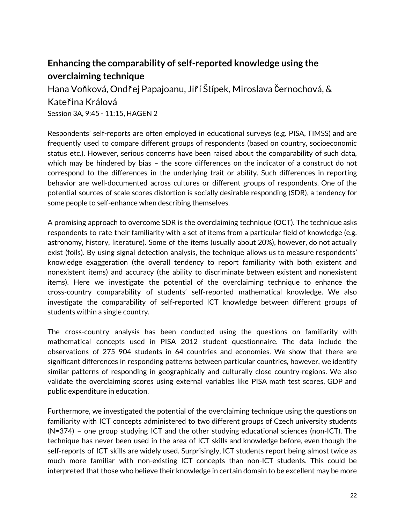#### **Enhancing the comparability of self-reported knowledge using the overclaiming technique**

Hana Voňková, Ondřej Papajoanu, Jiří Štípek, Miroslava Černochová, & Kateřina Králová Session 3A, 9:45 - 11:15, HAGEN 2

Respondents' self-reports are often employed in educational surveys (e.g. PISA, TIMSS) and are frequently used to compare different groups of respondents (based on country, socioeconomic status etc.). However, serious concerns have been raised about the comparability of such data, which may be hindered by bias – the score differences on the indicator of a construct do not correspond to the differences in the underlying trait or ability. Such differences in reporting behavior are well-documented across cultures or different groups of respondents. One of the potential sources of scale scores distortion is socially desirable responding (SDR), a tendency for some people to self-enhance when describing themselves.

A promising approach to overcome SDR is the overclaiming technique (OCT). The technique asks respondents to rate their familiarity with a set of items from a particular field of knowledge (e.g. astronomy, history, literature). Some of the items (usually about 20%), however, do not actually exist (foils). By using signal detection analysis, the technique allows us to measure respondents' knowledge exaggeration (the overall tendency to report familiarity with both existent and nonexistent items) and accuracy (the ability to discriminate between existent and nonexistent items). Here we investigate the potential of the overclaiming technique to enhance the cross-country comparability of students' self-reported mathematical knowledge. We also investigate the comparability of self-reported ICT knowledge between different groups of students within a single country.

The cross-country analysis has been conducted using the questions on familiarity with mathematical concepts used in PISA 2012 student questionnaire. The data include the observations of 275 904 students in 64 countries and economies. We show that there are significant differences in responding patterns between particular countries, however, we identify similar patterns of responding in geographically and culturally close country-regions. We also validate the overclaiming scores using external variables like PISA math test scores, GDP and public expenditure in education.

Furthermore, we investigated the potential of the overclaiming technique using the questions on familiarity with ICT concepts administered to two different groups of Czech university students (N=374) – one group studying ICT and the other studying educational sciences (non-ICT). The technique has never been used in the area of ICT skills and knowledge before, even though the self-reports of ICT skills are widely used. Surprisingly, ICT students report being almost twice as much more familiar with non-existing ICT concepts than non-ICT students. This could be interpreted that those who believe their knowledge in certain domain to be excellent may be more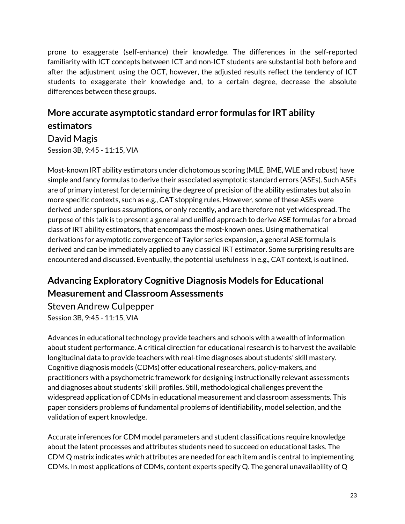prone to exaggerate (self-enhance) their knowledge. The differences in the self-reported familiarity with ICT concepts between ICT and non-ICT students are substantial both before and after the adjustment using the OCT, however, the adjusted results reflect the tendency of ICT students to exaggerate their knowledge and, to a certain degree, decrease the absolute differences between these groups.

# **More accurate asymptotic standard error formulas for IRT ability estimators**

David Magis Session 3B, 9:45 - 11:15, VIA

Most-known IRT ability estimators under dichotomous scoring (MLE, BME, WLE and robust) have simple and fancy formulas to derive their associated asymptotic standard errors (ASEs). Such ASEs are of primary interest for determining the degree of precision of the ability estimates but also in more specific contexts, such as e.g., CAT stopping rules. However, some of these ASEs were derived under spurious assumptions, or only recently, and are therefore not yet widespread. The purpose of this talk is to present a general and unified approach to derive ASE formulas for a broad class of IRT ability estimators, that encompass the most-known ones. Using mathematical derivations for asymptotic convergence of Taylor series expansion, a general ASE formula is derived and can be immediately applied to any classical IRT estimator. Some surprising results are encountered and discussed. Eventually, the potential usefulness in e.g., CAT context, is outlined.

### **Advancing Exploratory Cognitive Diagnosis Models for Educational Measurement and Classroom Assessments**

Steven Andrew Culpepper Session 3B, 9:45 - 11:15, VIA

Advances in educational technology provide teachers and schools with a wealth of information about student performance. A critical direction for educational research is to harvest the available longitudinal data to provide teachers with real-time diagnoses about students' skill mastery. Cognitive diagnosis models (CDMs) offer educational researchers, policy-makers, and practitioners with a psychometric framework for designing instructionally relevant assessments and diagnoses about students' skill profiles. Still, methodological challenges prevent the widespread application of CDMs in educational measurement and classroom assessments. This paper considers problems of fundamental problems of identifiability, model selection, and the validation of expert knowledge.

Accurate inferences for CDM model parameters and student classifications require knowledge about the latent processes and attributes students need to succeed on educational tasks. The CDM Q matrix indicates which attributes are needed for each item and is central to implementing CDMs. In most applications of CDMs, content experts specify Q. The general unavailability of Q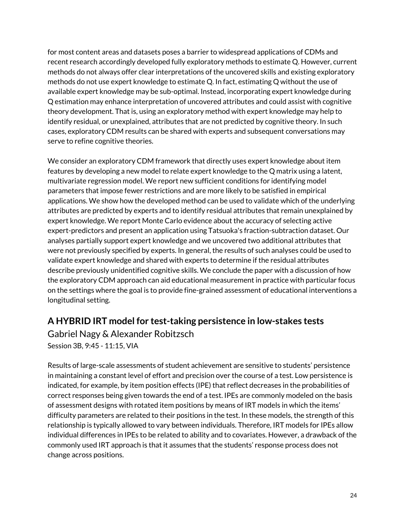for most content areas and datasets poses a barrier to widespread applications of CDMs and recent research accordingly developed fully exploratory methods to estimate Q. However, current methods do not always offer clear interpretations of the uncovered skills and existing exploratory methods do not use expert knowledge to estimate Q. In fact, estimating Q without the use of available expert knowledge may be sub-optimal. Instead, incorporating expert knowledge during Q estimation may enhance interpretation of uncovered attributes and could assist with cognitive theory development. That is, using an exploratory method with expert knowledge may help to identify residual, or unexplained, attributes that are not predicted by cognitive theory. In such cases, exploratory CDM results can be shared with experts and subsequent conversations may serve to refine cognitive theories.

We consider an exploratory CDM framework that directly uses expert knowledge about item features by developing a new model to relate expert knowledge to the Q matrix using a latent, multivariate regression model. We report new sufficient conditions for identifying model parameters that impose fewer restrictions and are more likely to be satisfied in empirical applications. We show how the developed method can be used to validate which of the underlying attributes are predicted by experts and to identify residual attributes that remain unexplained by expert knowledge. We report Monte Carlo evidence about the accuracy of selecting active expert-predictors and present an application using Tatsuoka's fraction-subtraction dataset. Our analyses partially support expert knowledge and we uncovered two additional attributes that were not previously specified by experts. In general, the results of such analyses could be used to validate expert knowledge and shared with experts to determine if the residual attributes describe previously unidentified cognitive skills. We conclude the paper with a discussion of how the exploratory CDM approach can aid educational measurement in practice with particular focus on the settings where the goal is to provide fine-grained assessment of educational interventions a longitudinal setting.

#### **A HYBRID IRT model for test-taking persistence in low-stakes tests**

Gabriel Nagy & Alexander Robitzsch Session 3B, 9:45 - 11:15, VIA

Results of large-scale assessments of student achievement are sensitive to students' persistence in maintaining a constant level of effort and precision over the course of a test. Low persistence is indicated, for example, by item position effects (IPE) that reflect decreases in the probabilities of correct responses being given towards the end of a test. IPEs are commonly modeled on the basis of assessment designs with rotated item positions by means of IRT models in which the items' difficulty parameters are related to their positions in the test. In these models, the strength of this relationship is typically allowed to vary between individuals. Therefore, IRT models for IPEs allow individual differences in IPEs to be related to ability and to covariates. However, a drawback of the commonly used IRT approach is that it assumes that the students' response process does not change across positions.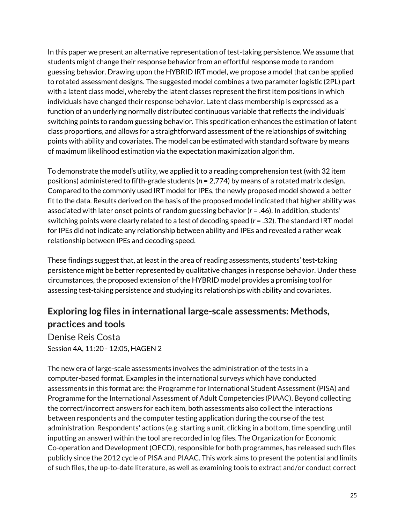In this paper we present an alternative representation of test-taking persistence. We assume that students might change their response behavior from an effortful response mode to random guessing behavior. Drawing upon the HYBRID IRT model, we propose a model that can be applied to rotated assessment designs. The suggested model combines a two parameter logistic (2PL) part with a latent class model, whereby the latent classes represent the first item positions in which individuals have changed their response behavior. Latent class membership is expressed as a function of an underlying normally distributed continuous variable that reflects the individuals' switching points to random guessing behavior. This specification enhances the estimation of latent class proportions, and allows for a straightforward assessment of the relationships of switching points with ability and covariates. The model can be estimated with standard software by means of maximum likelihood estimation via the expectation maximization algorithm.

To demonstrate the model's utility, we applied it to a reading comprehension test (with 32 item positions) administered to fifth-grade students (*n* = 2,774) by means of a rotated matrix design. Compared to the commonly used IRT model for IPEs, the newly proposed model showed a better fit to the data. Results derived on the basis of the proposed model indicated that higher ability was associated with later onset points of random guessing behavior (*r* = .46). In addition, students' switching points were clearly related to a test of decoding speed (*r* = .32). The standard IRT model for IPEs did not indicate any relationship between ability and IPEs and revealed a rather weak relationship between IPEs and decoding speed.

These findings suggest that, at least in the area of reading assessments, students' test-taking persistence might be better represented by qualitative changes in response behavior. Under these circumstances, the proposed extension of the HYBRID model provides a promising tool for assessing test-taking persistence and studying its relationships with ability and covariates.

### **Exploring log files in international large-scale assessments: Methods, practices and tools**

Denise Reis Costa Session 4A, 11:20 - 12:05, HAGEN 2

The new era of large-scale assessments involves the administration of the tests in a computer-based format. Examples in the international surveys which have conducted assessments in this format are: the Programme for International Student Assessment (PISA) and Programme for the International Assessment of Adult Competencies (PIAAC). Beyond collecting the correct/incorrect answers for each item, both assessments also collect the interactions between respondents and the computer testing application during the course of the test administration. Respondents' actions (e.g. starting a unit, clicking in a bottom, time spending until inputting an answer) within the tool are recorded in log files. The Organization for Economic Co-operation and Development (OECD), responsible for both programmes, has released such files publicly since the 2012 cycle of PISA and PIAAC. This work aims to present the potential and limits of such files, the up-to-date literature, as well as examining tools to extract and/or conduct correct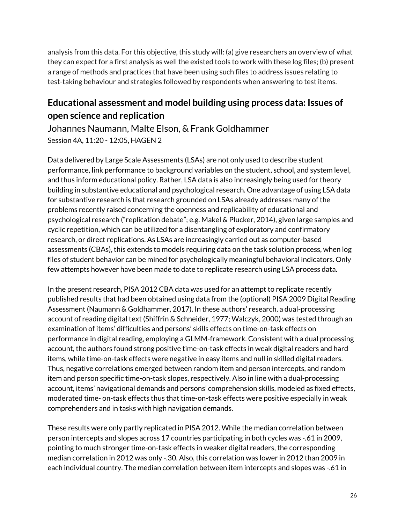analysis from this data. For this objective, this study will: (a) give researchers an overview of what they can expect for a first analysis as well the existed tools to work with these log files; (b) present a range of methods and practices that have been using such files to address issues relating to test-taking behaviour and strategies followed by respondents when answering to test items.

#### **Educational assessment and model building using process data: Issues of open science and replication**

Johannes Naumann, Malte Elson, & Frank Goldhammer Session 4A, 11:20 - 12:05, HAGEN 2

Data delivered by Large Scale Assessments (LSAs) are not only used to describe student performance, link performance to background variables on the student, school, and system level, and thus inform educational policy. Rather, LSA data is also increasingly being used for theory building in substantive educational and psychological research. One advantage of using LSA data for substantive research is that research grounded on LSAs already addresses many of the problems recently raised concerning the openness and replicability of educational and psychological research ("replication debate"; e.g. Makel & Plucker, 2014), given large samples and cyclic repetition, which can be utilized for a disentangling of exploratory and confirmatory research, or direct replications. As LSAs are increasingly carried out as computer-based assessments (CBAs), this extends to models requiring data on the task solution process, when log files of student behavior can be mined for psychologically meaningful behavioral indicators. Only few attempts however have been made to date to replicate research using LSA process data.

In the present research, PISA 2012 CBA data was used for an attempt to replicate recently published results that had been obtained using data from the (optional) PISA 2009 Digital Reading Assessment (Naumann & Goldhammer, 2017). In these authors' research, a dual-processing account of reading digital text (Shiffrin & Schneider, 1977; Walczyk, 2000) was tested through an examination of items' difficulties and persons' skills effects on time-on-task effects on performance in digital reading, employing a GLMM-framework. Consistent with a dual processing account, the authors found strong positive time-on-task effects in weak digital readers and hard items, while time-on-task effects were negative in easy items and null in skilled digital readers. Thus, negative correlations emerged between random item and person intercepts, and random item and person specific time-on-task slopes, respectively. Also in line with a dual-processing account, items' navigational demands and persons' comprehension skills, modeled as fixed effects, moderated time- on-task effects thus that time-on-task effects were positive especially in weak comprehenders and in tasks with high navigation demands.

These results were only partly replicated in PISA 2012. While the median correlation between person intercepts and slopes across 17 countries participating in both cycles was -.61 in 2009, pointing to much stronger time-on-task effects in weaker digital readers, the corresponding median correlation in 2012 was only -.30. Also, this correlation was lower in 2012 than 2009 in each individual country. The median correlation between item intercepts and slopes was -.61 in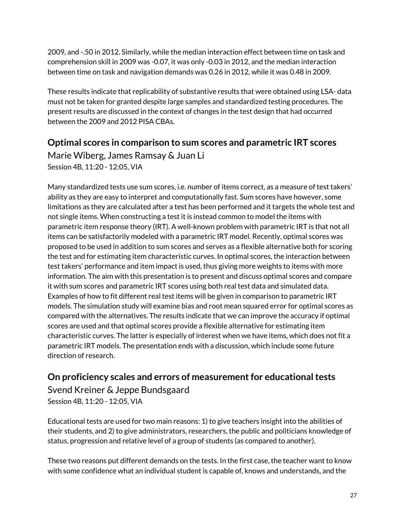2009, and -.50 in 2012. Similarly, while the median interaction effect between time on task and comprehension skill in 2009 was -0.07, it was only -0.03 in 2012, and the median interaction between time on task and navigation demands was 0.26 in 2012, while it was 0.48 in 2009.

These results indicate that replicability of substantive results that were obtained using LSA- data must not be taken for granted despite large samples and standardized testing procedures. The present results are discussed in the context of changes in the test design that had occurred between the 2009 and 2012 PISA CBAs.

#### **Optimal scores in comparison to sum scores and parametric IRT scores**

Marie Wiberg, James Ramsay & Juan Li Session 4B, 11:20 - 12:05, VIA

Many standardized tests use sum scores, i.e. number of items correct, as a measure of test takers' ability as they are easy to interpret and computationally fast. Sum scores have however, some limitations as they are calculated after a test has been performed and it targets the whole test and not single items. When constructing a test it is instead common to model the items with parametric item response theory (IRT). A well-known problem with parametric IRT is that not all items can be satisfactorily modeled with a parametric IRT model. Recently, optimal scores was proposed to be used in addition to sum scores and serves as a flexible alternative both for scoring the test and for estimating item characteristic curves. In optimal scores, the interaction between test takers' performance and item impact is used, thus giving more weights to items with more information. The aim with this presentation is to present and discuss optimal scores and compare it with sum scores and parametric IRT scores using both real test data and simulated data. Examples of how to fit different real test items will be given in comparison to parametric IRT models. The simulation study will examine bias and root mean squared error for optimal scores as compared with the alternatives. The results indicate that we can improve the accuracy if optimal scores are used and that optimal scores provide a flexible alternative for estimating item characteristic curves. The latter is especially of interest when we have items, which does not fit a parametric IRT models. The presentation ends with a discussion, which include some future direction of research.

#### **On proficiency scales and errors of measurementfor educationaltests**

Svend Kreiner & Jeppe Bundsgaard Session 4B, 11:20 - 12:05, VIA

Educational tests are used for two main reasons: 1) to give teachers insight into the abilities of their students, and 2) to give administrators, researchers, the public and politicians knowledge of status, progression and relative level of a group of students (as compared to another).

These two reasons put different demands on the tests. In the first case, the teacher want to know with some confidence what an individual student is capable of, knows and understands, and the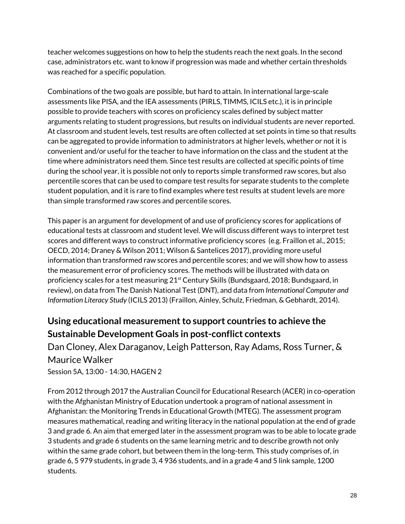teacher welcomes suggestions on how to help the students reach the next goals. In the second case, administrators etc. want to know if progression was made and whether certain thresholds was reached for a specific population.

Combinations of the two goals are possible, but hard to attain. In international large-scale assessments like PISA, and the IEA assessments (PIRLS, TIMMS, ICILS etc.), it is in principle possible to provide teachers with scores on proficiency scales defined by subject matter arguments relating to student progressions, but results on individual students are never reported. At classroom and student levels, test results are often collected at set points in time so that results can be aggregated to provide information to administrators at higher levels, whether or not it is convenient and/or useful for the teacher to have information on the class and the student at the time where administrators need them. Since test results are collected at specific points of time during the school year, it is possible not only to reports simple transformed raw scores, but also percentile scores that can be used to compare test results for separate students to the complete student population, and it is rare to find examples where test results at student levels are more than simple transformed raw scores and percentile scores.

This paper is an argument for development of and use of proficiency scores for applications of educational tests at classroom and student level. We will discuss different ways to interpret test scores and different ways to construct informative proficiency scores (e.g. Fraillon et al., 2015; OECD, 2014; Draney & Wilson 2011; Wilson & Santelices 2017), providing more useful information than transformed raw scores and percentile scores; and we will show how to assess the measurement error of proficiency scores. The methods will be illustrated with data on proficiency scales for a test measuring 21<sup>st</sup> Century Skills (Bundsgaard, 2018; Bundsgaard, in review), on data from The Danish National Test (DNT), and data from *International Computer and Information Literacy Study* (ICILS 2013) (Fraillon, Ainley, Schulz, Friedman, & Gebhardt, 2014).

#### **Using educational measurementto support countries to achieve the Sustainable Development Goals in post-conflict contexts**

Dan Cloney, Alex Daraganov, Leigh Patterson, Ray Adams, Ross Turner, & Maurice Walker Session 5A, 13:00 - 14:30, HAGEN 2

From 2012 through 2017 the Australian Council for Educational Research (ACER) in co-operation with the Afghanistan Ministry of Education undertook a program of national assessment in Afghanistan: the Monitoring Trends in Educational Growth (MTEG). The assessment program measures mathematical, reading and writing literacy in the national population at the end of grade 3 and grade 6. An aim that emerged later in the assessment program was to be able to locate grade 3 students and grade 6 students on the same learning metric and to describe growth not only within the same grade cohort, but between them in the long-term. This study comprises of, in grade 6, 5 979 students, in grade 3, 4 936 students, and in a grade 4 and 5 link sample, 1200 students.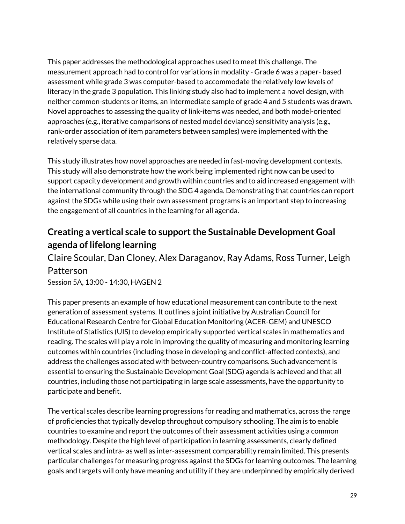This paper addresses the methodological approaches used to meet this challenge. The measurement approach had to control for variations in modality - Grade 6 was a paper- based assessment while grade 3 was computer-based to accommodate the relatively low levels of literacy in the grade 3 population. This linking study also had to implement a novel design, with neither common-students or items, an intermediate sample of grade 4 and 5 students was drawn. Novel approaches to assessing the quality of link-items was needed, and both model-oriented approaches (e.g., iterative comparisons of nested model deviance) sensitivity analysis (e.g., rank-order association of item parameters between samples) were implemented with the relatively sparse data.

This study illustrates how novel approaches are needed in fast-moving development contexts. This study will also demonstrate how the work being implemented right now can be used to support capacity development and growth within countries and to aid increased engagement with the international community through the SDG 4 agenda. Demonstrating that countries can report against the SDGs while using their own assessment programs is an important step to increasing the engagement of all countries in the learning for all agenda.

### **Creating a vertical scale to supportthe Sustainable Development Goal agenda of lifelong learning**

Claire Scoular, Dan Cloney, Alex Daraganov, Ray Adams, Ross Turner, Leigh Patterson

Session 5A, 13:00 - 14:30, HAGEN 2

This paper presents an example of how educational measurement can contribute to the next generation of assessment systems. It outlines a joint initiative by Australian Council for Educational Research Centre for Global Education Monitoring (ACER-GEM) and UNESCO Institute of Statistics (UIS) to develop empirically supported vertical scales in mathematics and reading. The scales will play a role in improving the quality of measuring and monitoring learning outcomes within countries (including those in developing and conflict-affected contexts), and address the challenges associated with between-country comparisons. Such advancement is essential to ensuring the Sustainable Development Goal (SDG) agenda is achieved and that all countries, including those not participating in large scale assessments, have the opportunity to participate and benefit.

The vertical scales describe learning progressions for reading and mathematics, across the range of proficiencies that typically develop throughout compulsory schooling. The aim is to enable countries to examine and report the outcomes of their assessment activities using a common methodology. Despite the high level of participation in learning assessments, clearly defined vertical scales and intra- as well as inter-assessment comparability remain limited. This presents particular challenges for measuring progress against the SDGs for learning outcomes. The learning goals and targets will only have meaning and utility if they are underpinned by empirically derived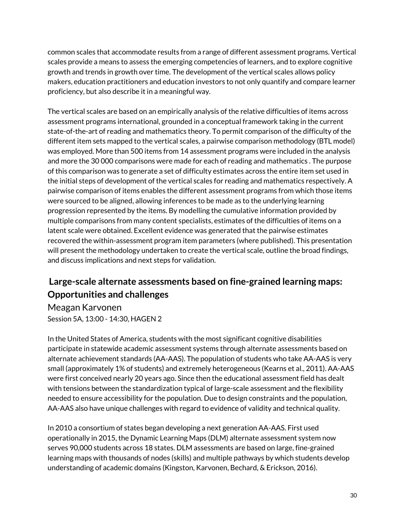common scales that accommodate results from a range of different assessment programs. Vertical scales provide a means to assess the emerging competencies of learners, and to explore cognitive growth and trends in growth over time. The development of the vertical scales allows policy makers, education practitioners and education investors to not only quantify and compare learner proficiency, but also describe it in a meaningful way.

The vertical scales are based on an empirically analysis of the relative difficulties of items across assessment programs international, grounded in a conceptual framework taking in the current state-of-the-art of reading and mathematics theory. To permit comparison of the difficulty of the different item sets mapped to the vertical scales, a pairwise comparison methodology (BTL model) was employed. More than 500 items from 14 assessment programs were included in the analysis and more the 30 000 comparisons were made for each of reading and mathematics . The purpose of this comparison was to generate a set of difficulty estimates across the entire item set used in the initial steps of development of the vertical scales for reading and mathematics respectively. A pairwise comparison of items enables the different assessment programs from which those items were sourced to be aligned, allowing inferences to be made as to the underlying learning progression represented by the items. By modelling the cumulative information provided by multiple comparisons from many content specialists, estimates of the difficulties of items on a latent scale were obtained. Excellent evidence was generated that the pairwise estimates recovered the within-assessment program item parameters (where published). This presentation will present the methodology undertaken to create the vertical scale, outline the broad findings, and discuss implications and next steps for validation.

### **Large-scale alternate assessments based on fine-grained learning maps: Opportunities and challenges**

Meagan Karvonen Session 5A, 13:00 - 14:30, HAGEN 2

In the United States of America, students with the most significant cognitive disabilities participate in statewide academic assessment systems through alternate assessments based on alternate achievement standards (AA-AAS). The population of students who take AA-AAS is very small (approximately 1% of students) and extremely heterogeneous (Kearns et al., 2011). AA-AAS were first conceived nearly 20 years ago. Since then the educational assessment field has dealt with tensions between the standardization typical of large-scale assessment and the flexibility needed to ensure accessibility for the population. Due to design constraints and the population, AA-AAS also have unique challenges with regard to evidence of validity and technical quality.

In 2010 a consortium of states began developing a next generation AA-AAS. First used operationally in 2015, the Dynamic Learning Maps (DLM) alternate assessment system now serves 90,000 students across 18 states. DLM assessments are based on large, fine-grained learning maps with thousands of nodes (skills) and multiple pathways by which students develop understanding of academic domains (Kingston, Karvonen, Bechard, & Erickson, 2016).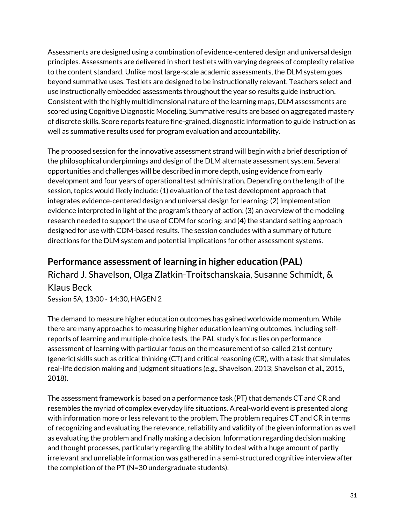Assessments are designed using a combination of evidence-centered design and universal design principles. Assessments are delivered in short testlets with varying degrees of complexity relative to the content standard. Unlike most large-scale academic assessments, the DLM system goes beyond summative uses. Testlets are designed to be instructionally relevant. Teachers select and use instructionally embedded assessments throughout the year so results guide instruction. Consistent with the highly multidimensional nature of the learning maps, DLM assessments are scored using Cognitive Diagnostic Modeling. Summative results are based on aggregated mastery of discrete skills. Score reports feature fine-grained, diagnostic information to guide instruction as well as summative results used for program evaluation and accountability.

The proposed session for the innovative assessment strand will begin with a brief description of the philosophical underpinnings and design of the DLM alternate assessment system. Several opportunities and challenges will be described in more depth, using evidence from early development and four years of operational test administration. Depending on the length of the session, topics would likely include: (1) evaluation of the test development approach that integrates evidence-centered design and universal design for learning; (2) implementation evidence interpreted in light of the program's theory of action; (3) an overview of the modeling research needed to support the use of CDM for scoring; and (4) the standard setting approach designed for use with CDM-based results. The session concludes with a summary of future directions for the DLM system and potential implications for other assessment systems.

#### **Performance assessment of learning in higher education (PAL)**

Richard J. Shavelson, Olga Zlatkin-Troitschanskaia, Susanne Schmidt, & Klaus Beck

Session 5A, 13:00 - 14:30, HAGEN 2

The demand to measure higher education outcomes has gained worldwide momentum. While there are many approaches to measuring higher education learning outcomes, including selfreports of learning and multiple-choice tests, the PAL study's focus lies on performance assessment of learning with particular focus on the measurement of so-called 21st century (generic) skills such as critical thinking (CT) and critical reasoning (CR), with a task that simulates real-life decision making and judgment situations (e.g., Shavelson, 2013; Shavelson et al., 2015, 2018).

The assessment framework is based on a performance task (PT) that demands CT and CR and resembles the myriad of complex everyday life situations. A real-world event is presented along with information more or less relevant to the problem. The problem requires CT and CR in terms of recognizing and evaluating the relevance, reliability and validity of the given information as well as evaluating the problem and finally making a decision. Information regarding decision making and thought processes, particularly regarding the ability to deal with a huge amount of partly irrelevant and unreliable information was gathered in a semi-structured cognitive interview after the completion of the PT (N=30 undergraduate students).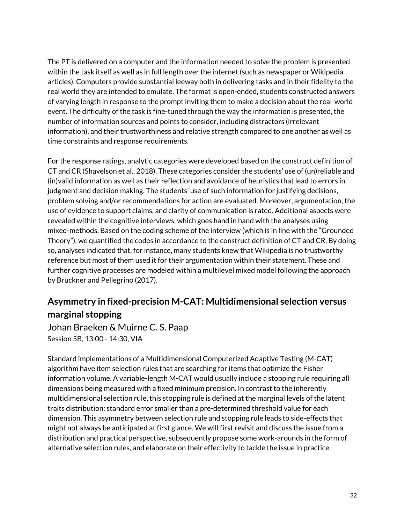The PT is delivered on a computer and the information needed to solve the problem is presented within the task itself as well as in full length over the internet (such as newspaper or Wikipedia articles). Computers provide substantial leeway both in delivering tasks and in their fidelity to the real world they are intended to emulate. The format is open-ended, students constructed answers of varying length in response to the prompt inviting them to make a decision about the real-world event. The difficulty of the task is fine-tuned through the way the information is presented, the number of information sources and points to consider, including distractors (irrelevant information), and their trustworthiness and relative strength compared to one another as well as time constraints and response requirements.

For the response ratings, analytic categories were developed based on the construct definition of CT and CR (Shavelson et al., 2018). These categories consider the students' use of (un)reliable and (in)valid information as well as their reflection and avoidance of heuristics that lead to errors in judgment and decision making. The students' use of such information for justifying decisions, problem solving and/or recommendations for action are evaluated. Moreover, argumentation, the use of evidence to support claims, and clarity of communication is rated. Additional aspects were revealed within the cognitive interviews, which goes hand in hand with the analyses using mixed-methods. Based on the coding scheme of the interview (which is in line with the "Grounded Theory"), we quantified the codes in accordance to the construct definition of CT and CR. By doing so, analyses indicated that, for instance, many students knew that Wikipedia is no trustworthy reference but most of them used it for their argumentation within their statement. These and further cognitive processes are modeled within a multilevel mixed model following the approach by Brückner and Pellegrino (2017).

# **Asymmetry in fixed-precision M-CAT: Multidimensional selection versus marginal stopping**

Johan Braeken & Muirne C. S. Paap Session 5B, 13:00 - 14:30, VIA

Standard implementations of a Multidimensional Computerized Adaptive Testing (M-CAT) algorithm have item selection rules that are searching for items that optimize the Fisher information volume. A variable-length M-CAT would usually include a stopping rule requiring all dimensions being measured with a fixed minimum precision. In contrast to the inherently multidimensional selection rule, this stopping rule is defined at the marginal levels of the latent traits distribution: standard error smaller than a pre-determined threshold value for each dimension. This asymmetry between selection rule and stopping rule leads to side-effects that might not always be anticipated at first glance. We will first revisit and discuss the issue from a distribution and practical perspective, subsequently propose some work-arounds in the form of alternative selection rules, and elaborate on their effectivity to tackle the issue in practice.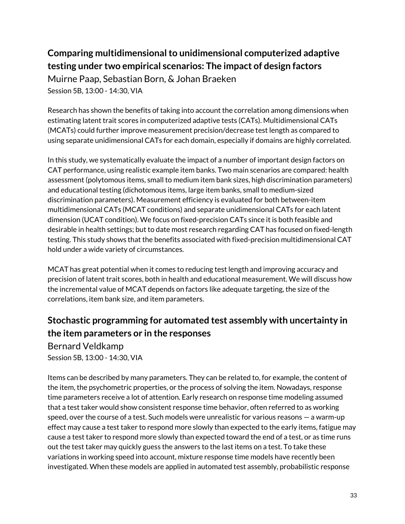# **Comparing multidimensionalto unidimensional computerized adaptive testing under two empirical scenarios: The impact of design factors**

Muirne Paap, Sebastian Born, & Johan Braeken Session 5B, 13:00 - 14:30, VIA

Research has shown the benefits of taking into account the correlation among dimensions when estimating latent trait scores in computerized adaptive tests (CATs). Multidimensional CATs (MCATs) could further improve measurement precision/decrease test length as compared to using separate unidimensional CATs for each domain, especially if domains are highly correlated.

In this study, we systematically evaluate the impact of a number of important design factors on CAT performance, using realistic example item banks. Two main scenarios are compared: health assessment (polytomous items, small to medium item bank sizes, high discrimination parameters) and educational testing (dichotomous items, large item banks, small to medium-sized discrimination parameters). Measurement efficiency is evaluated for both between-item multidimensional CATs (MCAT conditions) and separate unidimensional CATs for each latent dimension (UCAT condition). We focus on fixed-precision CATs since it is both feasible and desirable in health settings; but to date most research regarding CAT has focused on fixed-length testing. This study shows that the benefits associated with fixed-precision multidimensional CAT hold under a wide variety of circumstances.

MCAT has great potential when it comes to reducing test length and improving accuracy and precision of latent trait scores, both in health and educational measurement. We will discuss how the incremental value of MCAT depends on factors like adequate targeting, the size of the correlations, item bank size, and item parameters.

#### **Stochastic programming for automated test assembly with uncertainty in the item parameters or in the responses**

Bernard Veldkamp Session 5B, 13:00 - 14:30, VIA

Items can be described by many parameters. They can be related to, for example, the content of the item, the psychometric properties, or the process of solving the item. Nowadays, response time parameters receive a lot of attention. Early research on response time modeling assumed that a test taker would show consistent response time behavior, often referred to as working speed, over the course of a test. Such models were unrealistic for various reasons — a warm-up effect may cause a test taker to respond more slowly than expected to the early items, fatigue may cause a test taker to respond more slowly than expected toward the end of a test, or as time runs out the test taker may quickly guess the answers to the last items on a test. To take these variations in working speed into account, mixture response time models have recently been investigated. When these models are applied in automated test assembly, probabilistic response